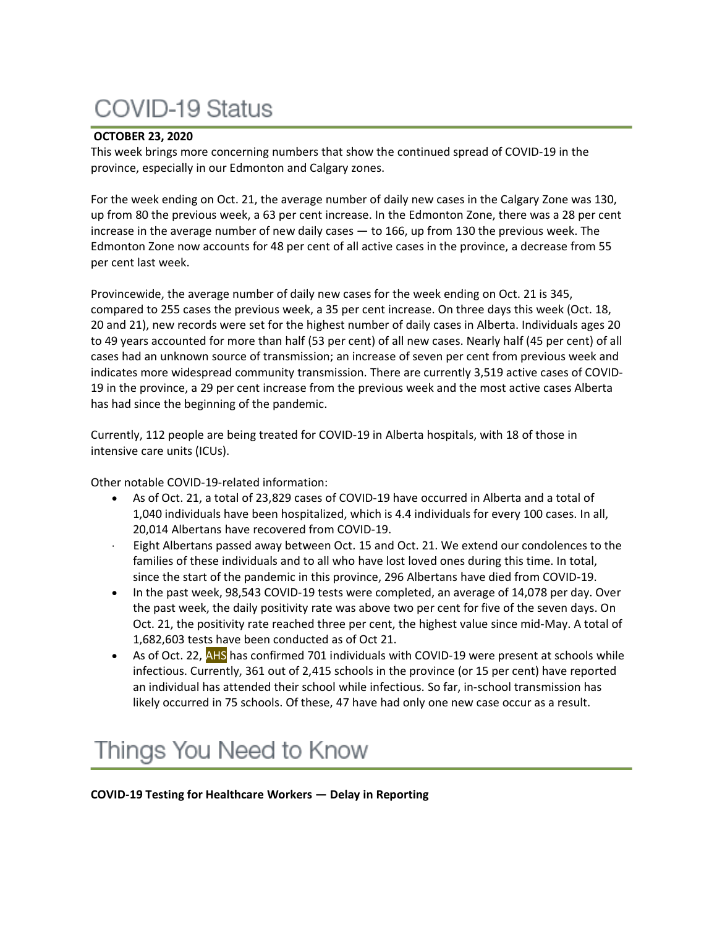# **COVID-19 Status**

# **OCTOBER 23, 2020**

This week brings more concerning numbers that show the continued spread of COVID-19 in the province, especially in our Edmonton and Calgary zones.

For the week ending on Oct. 21, the average number of daily new cases in the Calgary Zone was 130, up from 80 the previous week, a 63 per cent increase. In the Edmonton Zone, there was a 28 per cent increase in the average number of new daily cases — to 166, up from 130 the previous week. The Edmonton Zone now accounts for 48 per cent of all active cases in the province, a decrease from 55 per cent last week.

Provincewide, the average number of daily new cases for the week ending on Oct. 21 is 345, compared to 255 cases the previous week, a 35 per cent increase. On three days this week (Oct. 18, 20 and 21), new records were set for the highest number of daily cases in Alberta. Individuals ages 20 to 49 years accounted for more than half (53 per cent) of all new cases. Nearly half (45 per cent) of all cases had an unknown source of transmission; an increase of seven per cent from previous week and indicates more widespread community transmission. There are currently 3,519 active cases of COVID-19 in the province, a 29 per cent increase from the previous week and the most active cases Alberta has had since the beginning of the pandemic.

Currently, 112 people are being treated for COVID-19 in Alberta hospitals, with 18 of those in intensive care units (ICUs).

Other notable COVID-19-related information:

- As of Oct. 21, a total of 23,829 cases of COVID-19 have occurred in Alberta and a total of 1,040 individuals have been hospitalized, which is 4.4 individuals for every 100 cases. In all, 20,014 Albertans have recovered from COVID-19.
- Eight Albertans passed away between Oct. 15 and Oct. 21. We extend our condolences to the families of these individuals and to all who have lost loved ones during this time. In total, since the start of the pandemic in this province, 296 Albertans have died from COVID-19.
- In the past week, 98,543 COVID-19 tests were completed, an average of 14,078 per day. Over the past week, the daily positivity rate was above two per cent for five of the seven days. On Oct. 21, the positivity rate reached three per cent, the highest value since mid-May. A total of 1,682,603 tests have been conducted as of Oct 21.
- As of Oct. 22, AHS has confirmed 701 individuals with COVID-19 were present at schools while infectious. Currently, 361 out of 2,415 schools in the province (or 15 per cent) have reported an individual has attended their school while infectious. So far, in-school transmission has likely occurred in 75 schools. Of these, 47 have had only one new case occur as a result.

# Things You Need to Know

**COVID-19 Testing for Healthcare Workers — Delay in Reporting**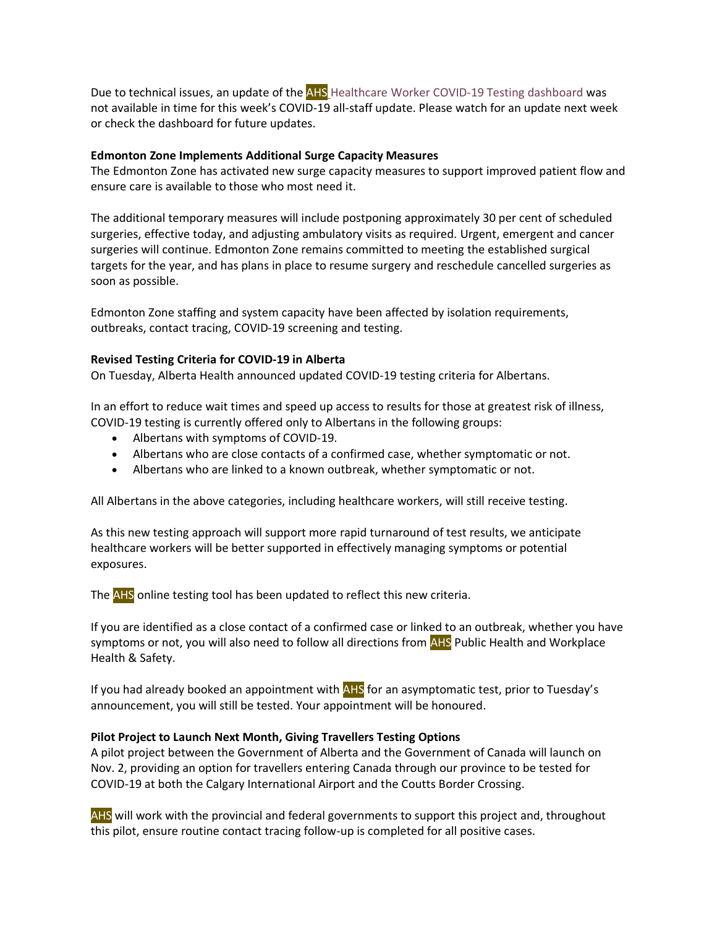Due to technical issues, an update of the AHS [Healthcare](https://tableau.albertahealthservices.ca/#/views/AHSEmployeePhysicianCOVID-19TestSurveillanceDashboard/Introduction?:iid=1) Worker COVID-19 Testing dashboard was not available in time for this week's COVID-19 all-staff update. Please watch for an update next week or check the dashboard for future updates.

### **Edmonton Zone Implements Additional Surge Capacity Measures**

The Edmonton Zone has activated new surge capacity measures to support improved patient flow and ensure care is available to those who most need it.

The additional temporary measures will include postponing approximately 30 per cent of scheduled surgeries, effective today, and adjusting ambulatory visits as required. Urgent, emergent and cancer surgeries will continue. Edmonton Zone remains committed to meeting the established surgical targets for the year, and has plans in place to resume surgery and reschedule cancelled surgeries as soon as possible.

Edmonton Zone staffing and system capacity have been affected by isolation requirements, outbreaks, contact tracing, COVID-19 screening and testing.

# **Revised Testing Criteria for COVID-19 in Alberta**

On Tuesday, Alberta Health announced updated COVID-19 testing criteria for Albertans.

In an effort to reduce wait times and speed up access to results for those at greatest risk of illness, COVID-19 testing is currently offered only to Albertans in the following groups:

- Albertans with symptoms of COVID-19.
- Albertans who are close contacts of a confirmed case, whether symptomatic or not.
- Albertans who are linked to a known outbreak, whether symptomatic or not.

All Albertans in the above categories, including healthcare workers, will still receive testing.

As this new testing approach will support more rapid turnaround of test results, we anticipate healthcare workers will be better supported in effectively managing symptoms or potential exposures.

The AHS online testing tool has been updated to reflect this new criteria.

If you are identified as a close contact of a confirmed case or linked to an outbreak, whether you have symptoms or not, you will also need to follow all directions from AHS Public Health and Workplace Health & Safety.

If you had already booked an appointment with AHS for an asymptomatic test, prior to Tuesday's announcement, you will still be tested. Your appointment will be honoured.

# **Pilot Project to Launch Next Month, Giving Travellers Testing Options**

A pilot project between the Government of Alberta and the Government of Canada will launch on Nov. 2, providing an option for travellers entering Canada through our province to be tested for COVID-19 at both the Calgary International Airport and the Coutts Border Crossing.

AHS will work with the provincial and federal governments to support this project and, throughout this pilot, ensure routine contact tracing follow-up is completed for all positive cases.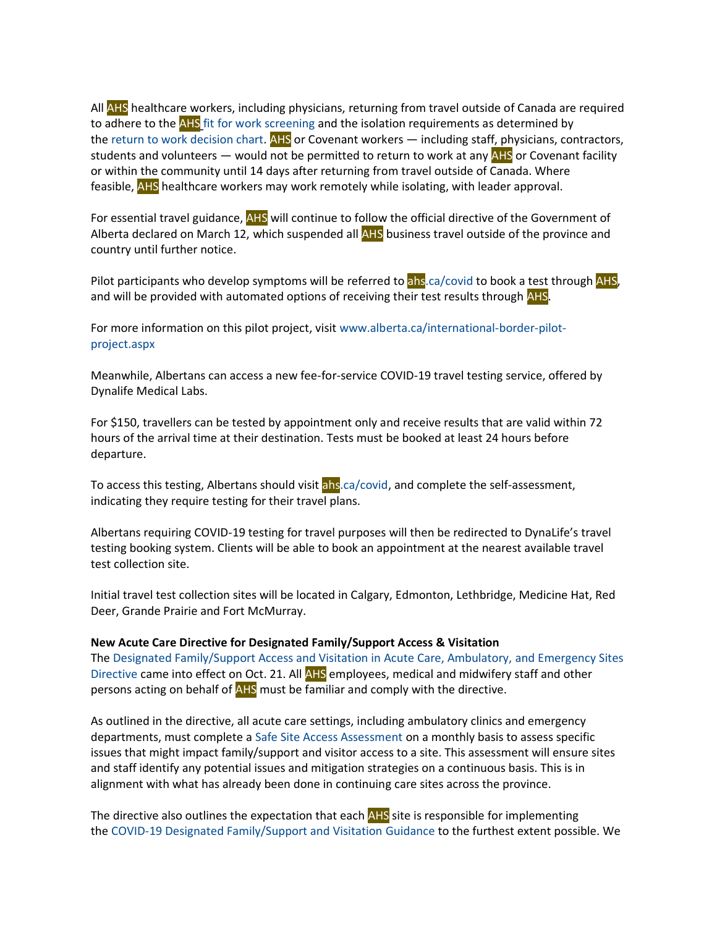All AHS healthcare workers, including physicians, returning from travel outside of Canada are required to adhere to the AHS [fit for work screening](https://www.albertahealthservices.ca/topics/Page17076.aspx) and the isolation requirements as determined by the [return to work decision chart.](https://www.albertahealthservices.ca/assets/info/ppih/if-ppih-covid-19-return-to-work-decision-chart-healthcare-worker.pdf) AHS or Covenant workers — including staff, physicians, contractors, students and volunteers — would not be permitted to return to work at any AHS or Covenant facility or within the community until 14 days after returning from travel outside of Canada. Where feasible, **AHS** healthcare workers may work remotely while isolating, with leader approval.

For essential travel guidance, AHS will continue to follow the official directive of the Government of Alberta declared on March 12, which suspended all AHS business travel outside of the province and country until further notice.

Pilot participants who develop symptoms will be referred to ahs ca/covid to book a test through AHS, and will be provided with automated options of receiving their test results through AHS.

For more information on this pilot project, visit [www.alberta.ca/international-border-pilot](http://www.alberta.ca/international-border-pilot-project.aspx)[project.aspx](http://www.alberta.ca/international-border-pilot-project.aspx)

Meanwhile, Albertans can access a new fee-for-service COVID-19 travel testing service, offered by Dynalife Medical Labs.

For \$150, travellers can be tested by appointment only and receive results that are valid within 72 hours of the arrival time at their destination. Tests must be booked at least 24 hours before departure.

To access this testing, Albertans should visit [ahs.ca/covid,](http://www.ahs.ca/covid) and complete the self-assessment, indicating they require testing for their travel plans.

Albertans requiring COVID-19 testing for travel purposes will then be redirected to DynaLife's travel testing booking system. Clients will be able to book an appointment at the nearest available travel test collection site.

Initial travel test collection sites will be located in Calgary, Edmonton, Lethbridge, Medicine Hat, Red Deer, Grande Prairie and Fort McMurray.

#### **New Acute Care Directive for Designated Family/Support Access & Visitation**

The [Designated Family/Support Access and Visitation in Acute Care, Ambulatory,](https://extranet.ahsnet.ca/teams/policydocuments/1/clp-ahs-support-visitation-hcs-275.pdf) and Emergency Sites [Directive](https://extranet.ahsnet.ca/teams/policydocuments/1/clp-ahs-support-visitation-hcs-275.pdf) came into effect on Oct. 21. All AHS employees, medical and midwifery staff and other persons acting on behalf of AHS must be familiar and comply with the directive.

As outlined in the directive, all acute care settings, including ambulatory clinics and emergency departments, must complete a [Safe Site Access Assessment](https://www.albertahealthservices.ca/frm-21705.docx) on a monthly basis to assess specific issues that might impact family/support and visitor access to a site. This assessment will ensure sites and staff identify any potential issues and mitigation strategies on a continuous basis. This is in alignment with what has already been done in continuing care sites across the province.

The directive also outlines the expectation that each **AHS** site is responsible for implementing the [COVID-19 Designated Family/Support and Visitation Guidance](https://www.albertahealthservices.ca/assets/healthinfo/ipc/hi-ipc-covid19-infosht-visiting-pts-pandemic.pdf) to the furthest extent possible. We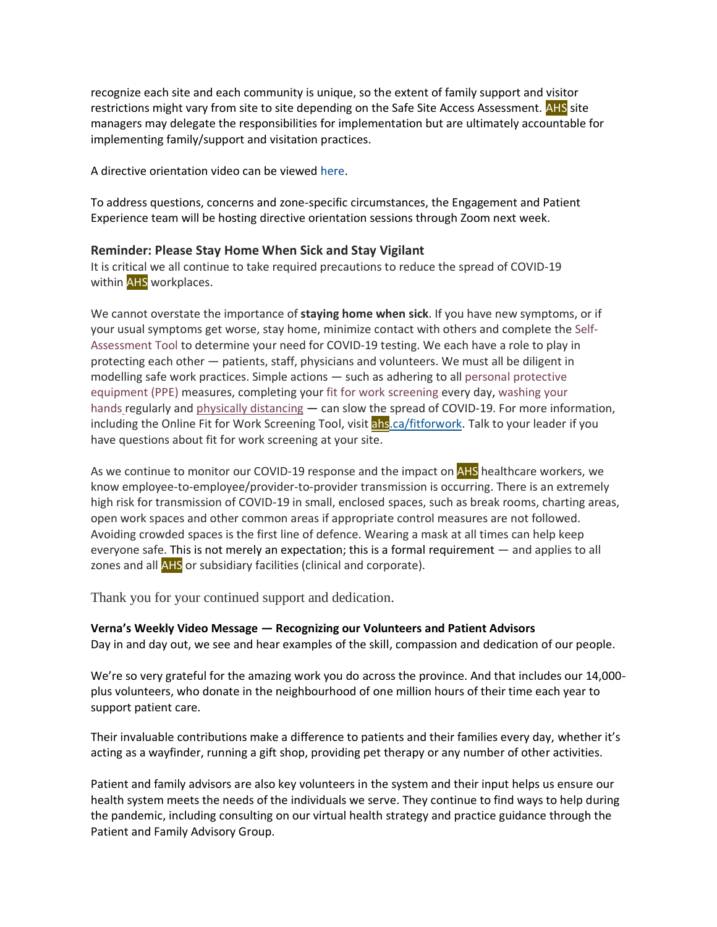recognize each site and each community is unique, so the extent of family support and visitor restrictions might vary from site to site depending on the Safe Site Access Assessment. AHS site managers may delegate the responsibilities for implementation but are ultimately accountable for implementing family/support and visitation practices.

A directive orientation video can be viewed [here.](https://buzzstream.albertahealthservices.ca/videos/Watch.aspx?v=tls-ep-covid-19-support-visitation-hcs-275)

To address questions, concerns and zone-specific circumstances, the Engagement and Patient Experience team will be hosting directive orientation sessions through Zoom next week.

### **Reminder: Please Stay Home When Sick and Stay Vigilant**

It is critical we all continue to take required precautions to reduce the spread of COVID-19 within AHS workplaces.

We cannot overstate the importance of **staying home when sick**. If you have new symptoms, or if your usual symptoms get worse, stay home, minimize contact with others and complete the [Self-](https://myhealth.alberta.ca/Journey/COVID-19/Pages/HWAssessLanding.aspx)[Assessment](https://myhealth.alberta.ca/Journey/COVID-19/Pages/HWAssessLanding.aspx) Tool to determine your need for COVID-19 testing. We each have a role to play in protecting each other — patients, staff, physicians and volunteers. We must all be diligent in modelling safe work practices. Simple actions — such as adhering to all personal [protective](https://www.albertahealthservices.ca/topics/Page17048.aspx) [equipment](https://www.albertahealthservices.ca/topics/Page17048.aspx) (PPE) measures, completing your fit for work [screening](https://www.albertahealthservices.ca/topics/Page17076.aspx) every day, [washing](https://www.albertahealthservices.ca/info/Page6426.aspx) your [hands](https://www.albertahealthservices.ca/info/Page6426.aspx) regularly and physically [distancing](https://www.albertahealthservices.ca/topics/Page16997.aspx#social) — can slow the spread of COVID-19. For more information, including the Online Fit for Work Screening Tool, visit [ahs.ca/fitforwork.](https://www.albertahealthservices.ca/topics/Page17076.aspx) Talk to your leader if you have questions about fit for work screening at your site.

As we continue to monitor our COVID-19 response and the impact on AHS healthcare workers, we know employee-to-employee/provider-to-provider transmission is occurring. There is an extremely high risk for transmission of COVID-19 in small, enclosed spaces, such as break rooms, charting areas, open work spaces and other common areas if appropriate control measures are not followed. Avoiding crowded spaces is the first line of defence. Wearing a mask at all times can help keep everyone safe. This is not merely an expectation; this is a formal requirement — and applies to all zones and all AHS or subsidiary facilities (clinical and corporate).

Thank you for your continued support and dedication.

# **Verna's Weekly Video Message — Recognizing our Volunteers and Patient Advisors**

Day in and day out, we see and hear examples of the skill, compassion and dedication of our people.

We're so very grateful for the amazing work you do across the province. And that includes our 14,000 plus volunteers, who donate in the neighbourhood of one million hours of their time each year to support patient care.

Their invaluable contributions make a difference to patients and their families every day, whether it's acting as a wayfinder, running a gift shop, providing pet therapy or any number of other activities.

Patient and family advisors are also key volunteers in the system and their input helps us ensure our health system meets the needs of the individuals we serve. They continue to find ways to help during the pandemic, including consulting on our virtual health strategy and practice guidance through the Patient and Family Advisory Group.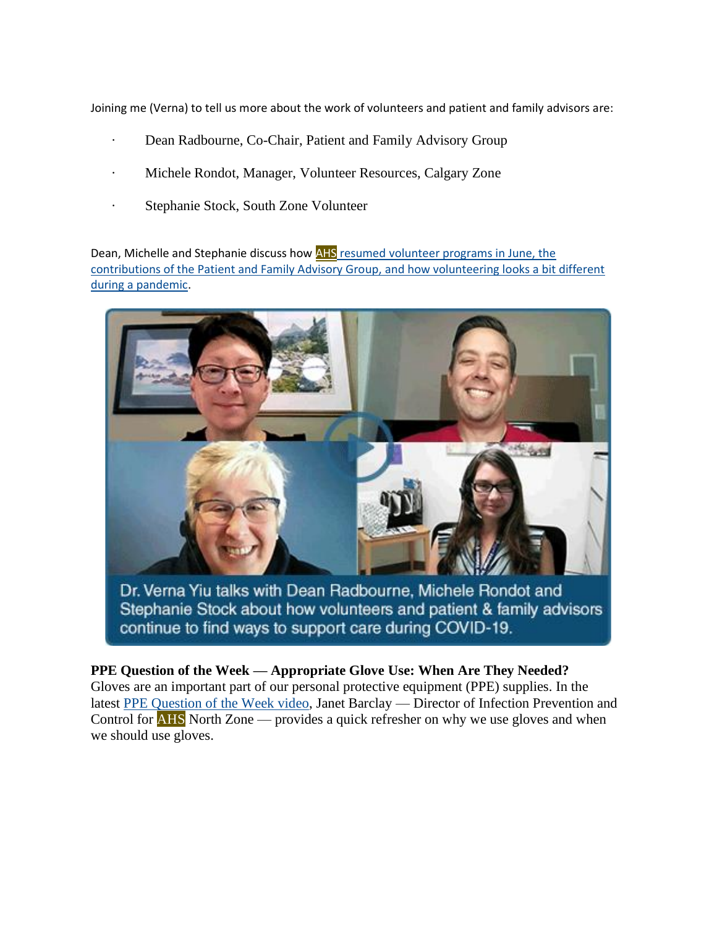Joining me (Verna) to tell us more about the work of volunteers and patient and family advisors are:

- Dean Radbourne, Co-Chair, Patient and Family Advisory Group
- · Michele Rondot, Manager, Volunteer Resources, Calgary Zone
- · Stephanie Stock, South Zone Volunteer

Dean, Michelle and Stephanie discuss how AHS [resumed volunteer programs in June, the](https://www.albertahealthservices.ca/Blogs/ceo/295.aspx)  [contributions of the Patient and Family Advisory Group, and how volunteering looks a bit different](https://www.albertahealthservices.ca/Blogs/ceo/295.aspx)  [during a pandemic.](https://www.albertahealthservices.ca/Blogs/ceo/295.aspx)



Dr. Verna Yiu talks with Dean Radbourne, Michele Rondot and Stephanie Stock about how volunteers and patient & family advisors continue to find ways to support care during COVID-19.

# **PPE Question of the Week — Appropriate Glove Use: When Are They Needed?**

Gloves are an important part of our personal protective equipment (PPE) supplies. In the latest [PPE Question of the Week video,](https://www.albertahealthservices.ca/topics/Page17119.aspx#ppedodont) Janet Barclay — Director of Infection Prevention and Control for AHS North Zone — provides a quick refresher on why we use gloves and when we should use gloves.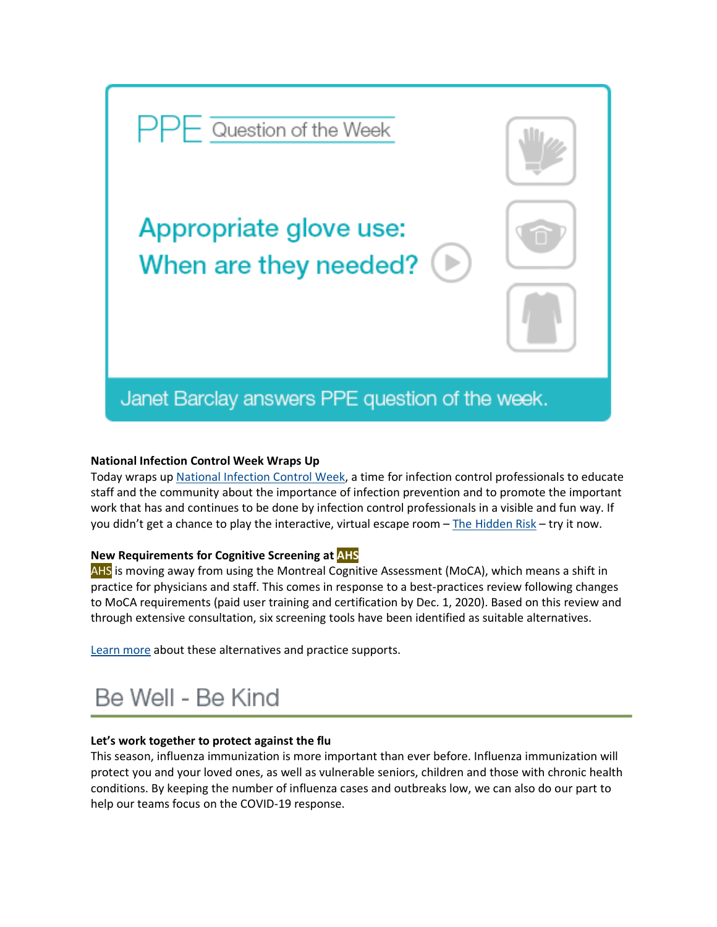

# **National Infection Control Week Wraps Up**

Today wraps up National [Infection](https://ipac-canada.org/national-infection-control-week.php) Control Week, a time for infection control professionals to educate staff and the community about the importance of infection prevention and to promote the important work that has and continues to be done by infection control professionals in a visible and fun way. If you didn't get a chance to play the interactive, virtual escape room  $-$  The [Hidden](https://www.albertahealthservices.ca/info/Page16667.aspx) Risk – try it now.

# **New Requirements for Cognitive Screening at AHS**

AHS is moving away from using the Montreal Cognitive Assessment (MoCA), which means a shift in practice for physicians and staff. This comes in response to a best-practices review following changes to MoCA requirements (paid user training and certification by Dec. 1, 2020). Based on this review and through extensive consultation, six screening tools have been identified as suitable alternatives.

[Learn](https://insite.albertahealthservices.ca/hpsp/Page25254.aspx) more about these alternatives and practice supports.

# Be Well - Be Kind

#### **Let's work together to protect against the flu**

This season, influenza immunization is more important than ever before. Influenza immunization will protect you and your loved ones, as well as vulnerable seniors, children and those with chronic health conditions. By keeping the number of influenza cases and outbreaks low, we can also do our part to help our teams focus on the COVID-19 response.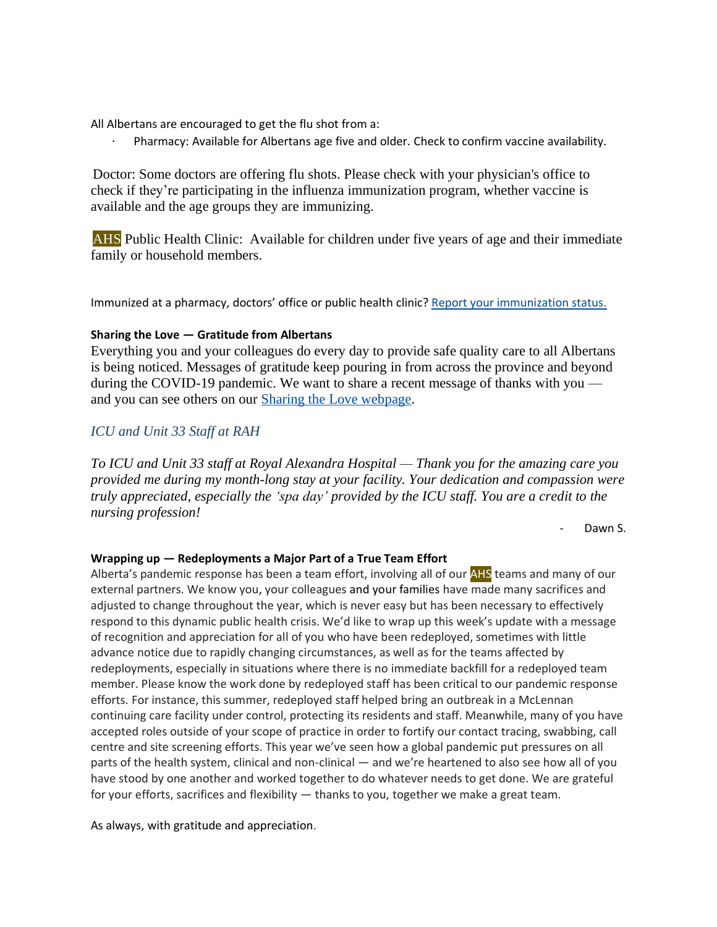All Albertans are encouraged to get the flu shot from a:

Pharmacy: Available for Albertans age five and older. Check to confirm vaccine availability.

Doctor: Some doctors are offering flu shots. Please check with your physician's office to check if they're participating in the influenza immunization program, whether vaccine is available and the age groups they are immunizing.

· AHS Public Health Clinic: Available for children under five years of age and their immediate family or household members.

Immunized at a pharmacy, doctors' office or public health clinic? Report your [immunization](https://insite.albertahealthservices.ca/hr/Page25170.aspx) status.

# **Sharing the Love — Gratitude from Albertans**

Everything you and your colleagues do every day to provide safe quality care to all Albertans is being noticed. Messages of gratitude keep pouring in from across the province and beyond during the COVID-19 pandemic. We want to share a recent message of thanks with you and you can see others on our [Sharing the Love webpage.](https://www.albertahealthservices.ca/about/page13797.aspx)

# *ICU and Unit 33 Staff at RAH*

*To ICU and Unit 33 staff at Royal Alexandra Hospital — Thank you for the amazing care you provided me during my month-long stay at your facility. Your dedication and compassion were truly appreciated, especially the 'spa day' provided by the ICU staff. You are a credit to the nursing profession!*

Dawn S.

#### **Wrapping up — Redeployments a Major Part of a True Team Effort**

Alberta's pandemic response has been a team effort, involving all of our **AHS** teams and many of our external partners. We know you, your colleagues and your families have made many sacrifices and adjusted to change throughout the year, which is never easy but has been necessary to effectively respond to this dynamic public health crisis. We'd like to wrap up this week's update with a message of recognition and appreciation for all of you who have been redeployed, sometimes with little advance notice due to rapidly changing circumstances, as well as for the teams affected by redeployments, especially in situations where there is no immediate backfill for a redeployed team member. Please know the work done by redeployed staff has been critical to our pandemic response efforts. For instance, this summer, redeployed staff helped bring an outbreak in a McLennan continuing care facility under control, protecting its residents and staff. Meanwhile, many of you have accepted roles outside of your scope of practice in order to fortify our contact tracing, swabbing, call centre and site screening efforts. This year we've seen how a global pandemic put pressures on all parts of the health system, clinical and non-clinical — and we're heartened to also see how all of you have stood by one another and worked together to do whatever needs to get done. We are grateful for your efforts, sacrifices and flexibility — thanks to you, together we make a great team.

As always, with gratitude and appreciation.